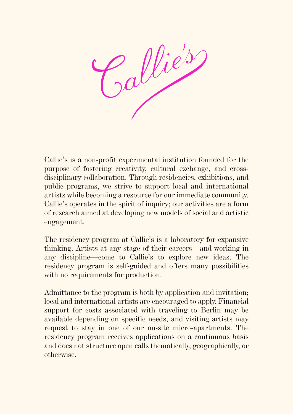

Callie's is a non-profit experimental institution founded for the purpose of fostering creativity, cultural exchange, and crossdisciplinary collaboration. Through residencies, exhibitions, and public programs, we strive to support local and international artists while becoming a resource for our immediate community. Callie's operates in the spirit of inquiry; our activities are a form of research aimed at developing new models of social and artistic engagement.

The residency program at Callie's is a laboratory for expansive thinking. Artists at any stage of their careers—and working in any discipline—come to Callie's to explore new ideas. The residency program is self-guided and offers many possibilities with no requirements for production.

Admittance to the program is both by application and invitation; local and international artists are encouraged to apply. Financial support for costs associated with traveling to Berlin may be available depending on specific needs, and visiting artists may request to stay in one of our on-site micro-apartments. The residency program receives applications on a continuous basis and does not structure open calls thematically, geographically, or otherwise.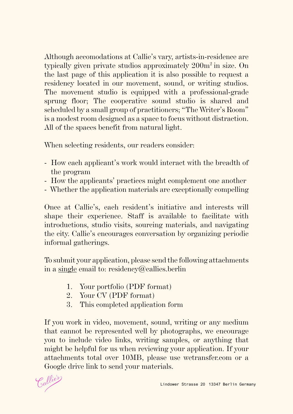Although accomodations at Callie's vary, artists-in-residence are typically given private studios approximately 200m2 in size. On the last page of this application it is also possible to request a residency located in our movement, sound, or writing studios. The movement studio is equipped with a professional-grade sprung floor; The cooperative sound studio is shared and scheduled by a small group of practitioners; "The Writer's Room" is a modest room designed as a space to focus without distraction. All of the spaces benefit from natural light.

When selecting residents, our readers consider:

- How each applicant's work would interact with the breadth of the program
- How the applicants' practices might complement one another
- Whether the application materials are exceptionally compelling

Once at Callie's, each resident's initiative and interests will shape their experience. Staff is available to facilitate with introductions, studio visits, sourcing materials, and navigating the city. Callie's encourages conversation by organizing periodic informal gatherings.

To submit your application, please send the following attachments in a single email to: residency@callies.berlin

- 1. Your portfolio (PDF format)
- 2. Your CV (PDF format)
- 3. This completed application form

If you work in video, movement, sound, writing or any medium that cannot be represented well by photographs, we encourage you to include video links, writing samples, or anything that might be helpful for us when reviewing your application. If your attachments total over 10MB, please use wetransfer.com or a Google drive link to send your materials.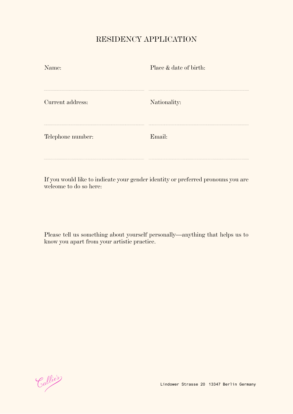## RESIDENCY APPLICATION

| Name:             | Place & date of birth: |
|-------------------|------------------------|
|                   |                        |
| Current address:  | Nationality:           |
| Telephone number: | Email:                 |
|                   |                        |

If you would like to indicate your gender identity or preferred pronouns you are welcome to do so here:

Please tell us something about yourself personally—anything that helps us to know you apart from your artistic practice.

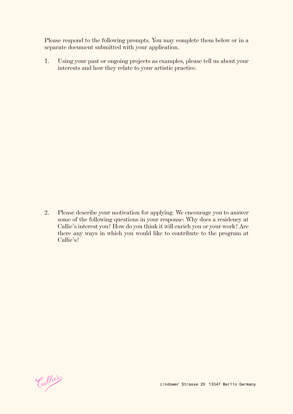Please respond to the following prompts. You may complete them below or in a separate document submitted with your application.

1. Using your past or ongoing projects as examples, please tell us about your interests and how they relate to your artistic practice.

2. Please describe your motivation for applying. We encourage you to answer some of the following questions in your response: Why does a residency at Callie's interest you? How do you think it will enrich you or your work? Are there any ways in which you would like to contribute to the program at Callie's?

Callie's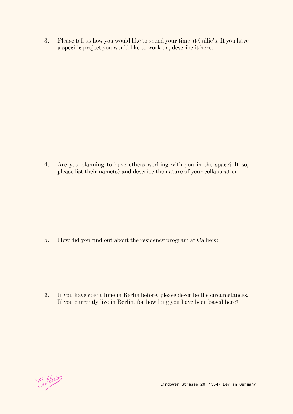3. Please tell us how you would like to spend your time at Callie's. If you have a specific project you would like to work on, describe it here.

4. Are you planning to have others working with you in the space? If so, please list their name(s) and describe the nature of your collaboration.

5. How did you find out about the residency program at Callie's?

6. If you have spent time in Berlin before, please describe the circumstances. If you currently live in Berlin, for how long you have been based here?